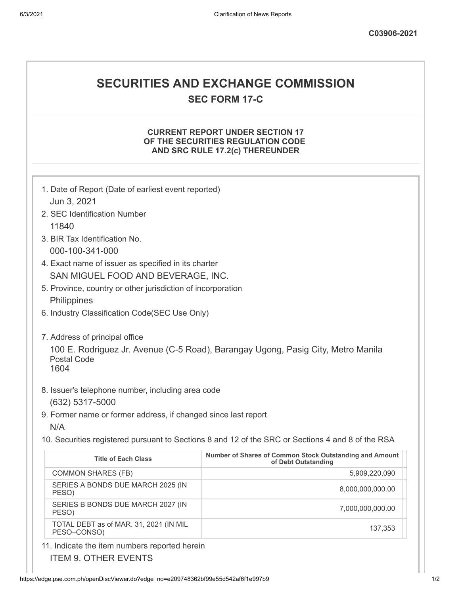## **SECURITIES AND EXCHANGE COMMISSION**

**SEC FORM 17-C**

## **CURRENT REPORT UNDER SECTION 17 OF THE SECURITIES REGULATION CODE AND SRC RULE 17.2(c) THEREUNDER**

| 1. Date of Report (Date of earliest event reported)                                                            |                                                                                |
|----------------------------------------------------------------------------------------------------------------|--------------------------------------------------------------------------------|
| Jun 3, 2021                                                                                                    |                                                                                |
| 2. SEC Identification Number                                                                                   |                                                                                |
| 11840                                                                                                          |                                                                                |
| 3. BIR Tax Identification No.                                                                                  |                                                                                |
| 000-100-341-000                                                                                                |                                                                                |
| 4. Exact name of issuer as specified in its charter                                                            |                                                                                |
| SAN MIGUEL FOOD AND BEVERAGE, INC.                                                                             |                                                                                |
| 5. Province, country or other jurisdiction of incorporation                                                    |                                                                                |
| Philippines                                                                                                    |                                                                                |
| 6. Industry Classification Code(SEC Use Only)                                                                  |                                                                                |
|                                                                                                                |                                                                                |
| 7. Address of principal office                                                                                 |                                                                                |
| 100 E. Rodriguez Jr. Avenue (C-5 Road), Barangay Ugong, Pasig City, Metro Manila<br><b>Postal Code</b><br>1604 |                                                                                |
| 8. Issuer's telephone number, including area code<br>(632) 5317-5000                                           |                                                                                |
| 9. Former name or former address, if changed since last report                                                 |                                                                                |
| N/A                                                                                                            |                                                                                |
| 10. Securities registered pursuant to Sections 8 and 12 of the SRC or Sections 4 and 8 of the RSA              |                                                                                |
| <b>Title of Each Class</b>                                                                                     | Number of Shares of Common Stock Outstanding and Amount<br>of Debt Outstanding |
| <b>COMMON SHARES (FB)</b>                                                                                      | 5,909,220,090                                                                  |
| SERIES A BONDS DUE MARCH 2025 (IN<br>PESO)                                                                     | 8,000,000,000.00                                                               |
| SERIES B BONDS DUE MARCH 2027 (IN<br>PESO)                                                                     | 7,000,000,000.00                                                               |
| TOTAL DEBT as of MAR. 31, 2021 (IN MIL<br>PESO-CONSO)                                                          | 137,353                                                                        |
| 11. Indicate the item numbers reported herein                                                                  |                                                                                |

https://edge.pse.com.ph/openDiscViewer.do?edge\_no=e209748362bf99e55d542af6f1e997b9

ITEM 9. OTHER EVENTS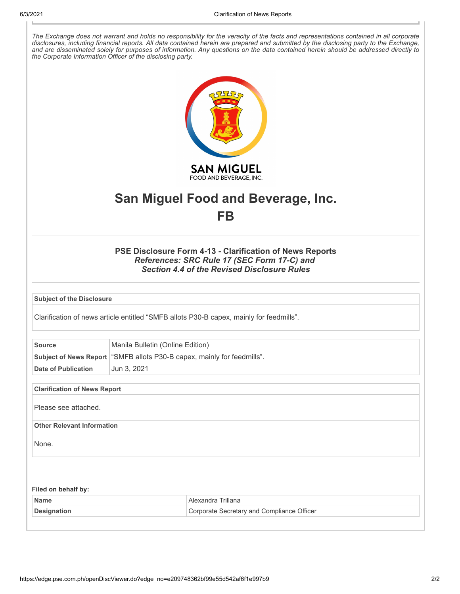